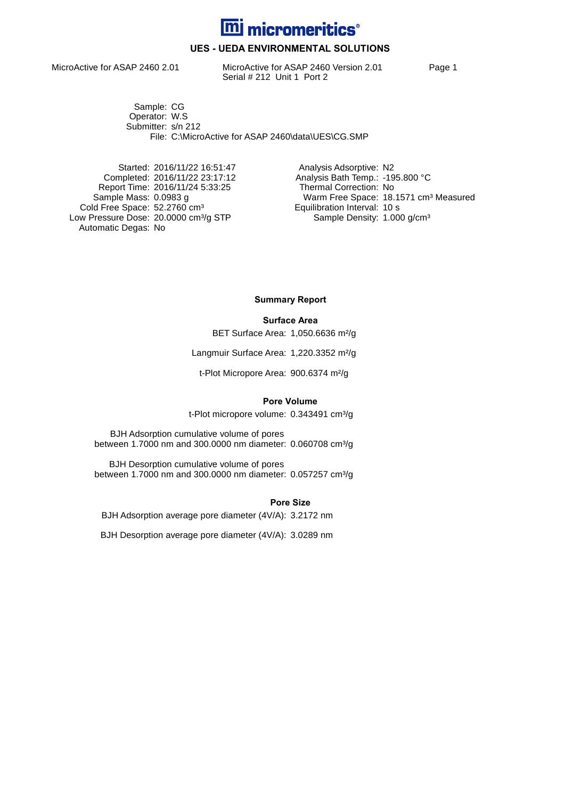

## **UES - UEDA ENVIRONMENTAL SOLUTIONS**

MicroActive for ASAP 2460 2.01 MicroActive for ASAP 2460 Version 2.01 Page 1 Serial # 212 Unit 1 Port 2

Sample: CG Operator: W.S Submitter: s/n 212 File: C:\MicroActive for ASAP 2460\data\UES\CG.SMP

Started: 2016/11/22 16:51:47 Analysis Adsorptive: N2 Report Time: 2016/11/24 5:33:25<br>Sample Mass: 0.0983 g Cold Free Space: 52.2760 cm<sup>3</sup> Equilibration Interval: 10 s Low Pressure Dose: 20.0000 cm<sup>3</sup>/g STP Sample Density: 1.000 g/cm<sup>3</sup> Automatic Degas: No

Completed: 2016/11/22 23:17:12 <br>Report Time: 2016/11/24 5:33:25 Thermal Correction: No Warm Free Space: 18.1571 cm<sup>3</sup> Measured<br>Equilibration Interval: 10 s

**Summary Report**

#### **Surface Area**

BET Surface Area: 1,050.6636 m²/g

Langmuir Surface Area: 1,220.3352 m²/g

t-Plot Micropore Area: 900.6374 m²/g

#### **Pore Volume**

t-Plot micropore volume: 0.343491 cm<sup>3</sup>/g

BJH Adsorption cumulative volume of pores between 1.7000 nm and 300.0000 nm diameter: 0.060708 cm<sup>3</sup>/g

BJH Desorption cumulative volume of pores between 1.7000 nm and 300.0000 nm diameter: 0.057257 cm<sup>3</sup>/g

**Pore Size**

BJH Adsorption average pore diameter (4V/A): 3.2172 nm

BJH Desorption average pore diameter (4V/A): 3.0289 nm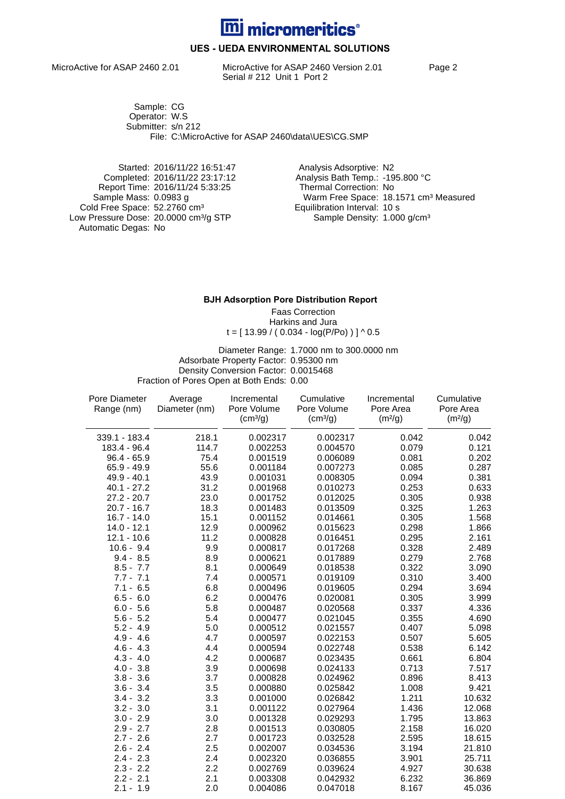

## **UES - UEDA ENVIRONMENTAL SOLUTIONS**

MicroActive for ASAP 2460 2.01 MicroActive for ASAP 2460 Version 2.01 Page 2 Serial # 212 Unit 1 Port 2

Sample: CG Operator: W.S Submitter: s/n 212 File: C:\MicroActive for ASAP 2460\data\UES\CG.SMP

Started: 2016/11/22 16:51:47 Analysis Adsorptive: N2 Report Time: 2016/11/24 5:33:25 Cold Free Space: 52.2760 cm<sup>3</sup> Equilibration Interval: 10 s Low Pressure Dose: 20.0000 cm<sup>3</sup>/g STP Sample Density: 1.000 g/cm<sup>3</sup> Automatic Degas: No

Completed: 2016/11/22 23:17:12 Analysis Bath Temp.: -195.800 °C Warm Free Space: 18.1571 cm<sup>3</sup> Measured<br>Equilibration Interval: 10 s

#### **BJH Adsorption Pore Distribution Report**

Faas Correction Harkins and Jura  $t = [ 13.99 / ( 0.034 - log(P/P<sub>O</sub>)) ] ^ 0.5$ 

Diameter Range: 1.7000 nm to 300.0000 nm Adsorbate Property Factor: 0.95300 nm Density Conversion Factor: 0.0015468 Fraction of Pores Open at Both Ends: 0.00

| Pore Diameter | Average       | Incremental          | Cumulative           | Incremental         | Cumulative          |
|---------------|---------------|----------------------|----------------------|---------------------|---------------------|
| Range (nm)    | Diameter (nm) | Pore Volume          | Pore Volume          | Pore Area           | Pore Area           |
|               |               | (cm <sup>3</sup> /g) | (cm <sup>3</sup> /g) | (m <sup>2</sup> /g) | (m <sup>2</sup> /g) |
| 339.1 - 183.4 | 218.1         | 0.002317             | 0.002317             | 0.042               | 0.042               |
| 183.4 - 96.4  | 114.7         | 0.002253             | 0.004570             | 0.079               | 0.121               |
| $96.4 - 65.9$ | 75.4          | 0.001519             | 0.006089             | 0.081               | 0.202               |
| $65.9 - 49.9$ | 55.6          | 0.001184             | 0.007273             | 0.085               | 0.287               |
| $49.9 - 40.1$ | 43.9          | 0.001031             | 0.008305             | 0.094               | 0.381               |
| $40.1 - 27.2$ | 31.2          | 0.001968             | 0.010273             | 0.253               | 0.633               |
| $27.2 - 20.7$ | 23.0          | 0.001752             | 0.012025             | 0.305               | 0.938               |
| $20.7 - 16.7$ | 18.3          | 0.001483             | 0.013509             | 0.325               | 1.263               |
| $16.7 - 14.0$ | 15.1          | 0.001152             | 0.014661             | 0.305               | 1.568               |
| $14.0 - 12.1$ | 12.9          | 0.000962             | 0.015623             | 0.298               | 1.866               |
| $12.1 - 10.6$ | 11.2          | 0.000828             | 0.016451             | 0.295               | 2.161               |
| $10.6 - 9.4$  | 9.9           | 0.000817             | 0.017268             | 0.328               | 2.489               |
| $9.4 - 8.5$   | 8.9           | 0.000621             | 0.017889             | 0.279               | 2.768               |
| $8.5 - 7.7$   | 8.1           | 0.000649             | 0.018538             | 0.322               | 3.090               |
| $7.7 - 7.1$   | 7.4           | 0.000571             | 0.019109             | 0.310               | 3.400               |
| $7.1 - 6.5$   | 6.8           | 0.000496             | 0.019605             | 0.294               | 3.694               |
| $6.5 - 6.0$   | 6.2           | 0.000476             | 0.020081             | 0.305               | 3.999               |
| $6.0 - 5.6$   | 5.8           | 0.000487             | 0.020568             | 0.337               | 4.336               |
| $5.6 - 5.2$   | 5.4           | 0.000477             | 0.021045             | 0.355               | 4.690               |
| $5.2 - 4.9$   | 5.0           | 0.000512             | 0.021557             | 0.407               | 5.098               |
| $4.9 - 4.6$   | 4.7           | 0.000597             | 0.022153             | 0.507               | 5.605               |
| $4.6 - 4.3$   | 4.4           | 0.000594             | 0.022748             | 0.538               | 6.142               |
| $4.3 - 4.0$   | 4.2           | 0.000687             | 0.023435             | 0.661               | 6.804               |
| $4.0 - 3.8$   | 3.9           | 0.000698             | 0.024133             | 0.713               | 7.517               |
| $3.8 - 3.6$   | 3.7           | 0.000828             | 0.024962             | 0.896               | 8.413               |
| $3.6 - 3.4$   | 3.5           | 0.000880             | 0.025842             | 1.008               | 9.421               |
| $3.4 - 3.2$   | 3.3           | 0.001000             | 0.026842             | 1.211               | 10.632              |
| $3.2 - 3.0$   | 3.1           | 0.001122             | 0.027964             | 1.436               | 12.068              |
| $3.0 - 2.9$   | 3.0           | 0.001328             | 0.029293             | 1.795               | 13.863              |
| $2.9 - 2.7$   | 2.8           | 0.001513             | 0.030805             | 2.158               | 16.020              |
| $2.7 - 2.6$   | 2.7           | 0.001723             | 0.032528             | 2.595               | 18.615              |
| $2.6 - 2.4$   | 2.5           | 0.002007             | 0.034536             | 3.194               | 21.810              |
| $2.4 - 2.3$   | 2.4           | 0.002320             | 0.036855             | 3.901               | 25.711              |
| $2.3 - 2.2$   | 2.2           | 0.002769             | 0.039624             | 4.927               | 30.638              |
| $2.2 - 2.1$   | 2.1           | 0.003308             | 0.042932             | 6.232               | 36.869              |
| $2.1 - 1.9$   | 2.0           | 0.004086             | 0.047018             | 8.167               | 45.036              |